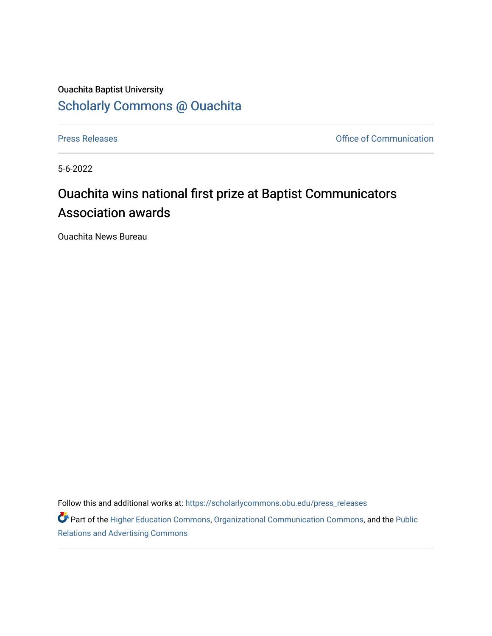## Ouachita Baptist University [Scholarly Commons @ Ouachita](https://scholarlycommons.obu.edu/)

[Press Releases](https://scholarlycommons.obu.edu/press_releases) **Press Releases Communication** 

5-6-2022

## Ouachita wins national first prize at Baptist Communicators Association awards

Ouachita News Bureau

Follow this and additional works at: [https://scholarlycommons.obu.edu/press\\_releases](https://scholarlycommons.obu.edu/press_releases?utm_source=scholarlycommons.obu.edu%2Fpress_releases%2F1089&utm_medium=PDF&utm_campaign=PDFCoverPages)

Part of the [Higher Education Commons,](http://network.bepress.com/hgg/discipline/1245?utm_source=scholarlycommons.obu.edu%2Fpress_releases%2F1089&utm_medium=PDF&utm_campaign=PDFCoverPages) [Organizational Communication Commons,](http://network.bepress.com/hgg/discipline/335?utm_source=scholarlycommons.obu.edu%2Fpress_releases%2F1089&utm_medium=PDF&utm_campaign=PDFCoverPages) and the [Public](http://network.bepress.com/hgg/discipline/336?utm_source=scholarlycommons.obu.edu%2Fpress_releases%2F1089&utm_medium=PDF&utm_campaign=PDFCoverPages) [Relations and Advertising Commons](http://network.bepress.com/hgg/discipline/336?utm_source=scholarlycommons.obu.edu%2Fpress_releases%2F1089&utm_medium=PDF&utm_campaign=PDFCoverPages)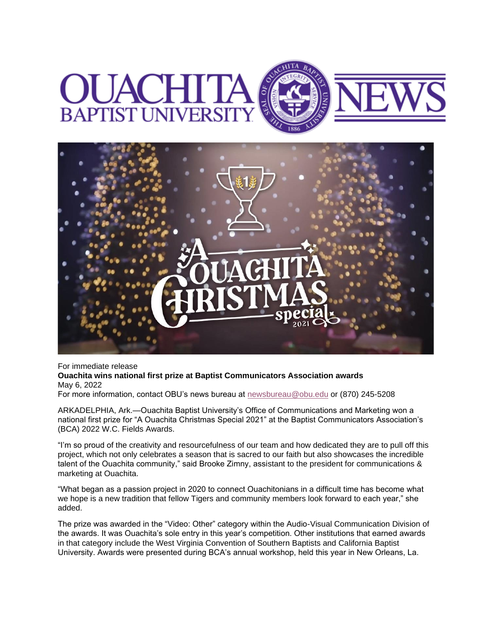



For immediate release **Ouachita wins national first prize at Baptist Communicators Association awards** May 6, 2022 For more information, contact OBU's news bureau at [newsbureau@obu.edu](mailto:newsbureau@obu.edu) or (870) 245-5208

ARKADELPHIA, Ark.—Ouachita Baptist University's Office of Communications and Marketing won a national first prize for "A Ouachita Christmas Special 2021" at the Baptist Communicators Association's (BCA) 2022 W.C. Fields Awards.

"I'm so proud of the creativity and resourcefulness of our team and how dedicated they are to pull off this project, which not only celebrates a season that is sacred to our faith but also showcases the incredible talent of the Ouachita community," said Brooke Zimny, assistant to the president for communications & marketing at Ouachita.

"What began as a passion project in 2020 to connect Ouachitonians in a difficult time has become what we hope is a new tradition that fellow Tigers and community members look forward to each year," she added.

The prize was awarded in the "Video: Other" category within the Audio-Visual Communication Division of the awards. It was Ouachita's sole entry in this year's competition. Other institutions that earned awards in that category include the West Virginia Convention of Southern Baptists and California Baptist University. Awards were presented during BCA's annual workshop, held this year in New Orleans, La.